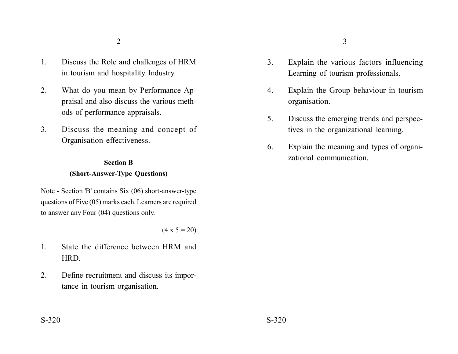- 1. Discuss the Role and challenges of HRM in tourism and hospitality Industry.
- 2. What do you mean by Performance Appraisal and also discuss the various methods of performance appraisals.
- 3. Discuss the meaning and concept of Organisation effectiveness.

# **Section B (Short-Answer-Type Questions)**

Note - Section 'B' contains Six (06) short-answer-type questions of Five (05) marks each. Learners are required to answer any Four (04) questions only.

 $(4 \times 5 = 20)$ 

- 1. State the difference between HRM and HRD.
- 2. Define recruitment and discuss its importance in tourism organisation.
- 3. Explain the various factors influencing Learning of tourism professionals.
- 4. Explain the Group behaviour in tourism organisation.
- 5. Discuss the emerging trends and perspectives in the organizational learning.
- 6. Explain the meaning and types of organizational communication.